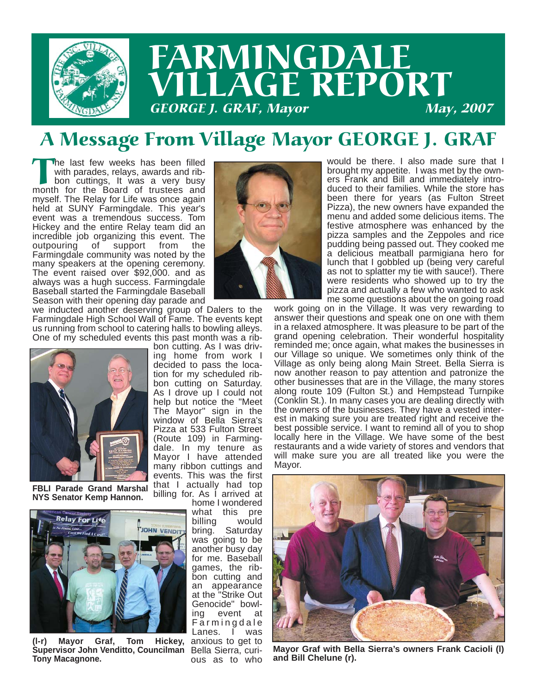

### A Message From Village Mayor GEORGE J. GRAF

The last few weeks has been filled<br>with parades, relays, awards and rib-<br>bon cuttings, It was a very busy<br>month for the Board of trustees and with parades, relays, awards and ribbon cuttings, It was a very busy month for the Board of trustees and myself. The Relay for Life was once again held at SUNY Farmingdale. This year's event was a tremendous success. Tom Hickey and the entire Relay team did an incredible job organizing this event. The support from the Farmingdale community was noted by the many speakers at the opening ceremony. The event raised over \$92,000. and as always was a hugh success. Farmingdale Baseball started the Farmingdale Baseball Season with their opening day parade and

we inducted another deserving group of Dalers to the Farmingdale High School Wall of Fame. The events kept us running from school to catering halls to bowling alleys. One of my scheduled events this past month was a rib-



**FBLI Parade Grand Marshal NYS Senator Kemp Hannon.**



(I-r) Mayor Graf, Tom Hickey, anxious to get to Supervisor John Venditto, Councilman Bella Sierra, curi-**Tony Macagnone.**

bon cutting. As I was driving home from work I decided to pass the location for my scheduled ribbon cutting on Saturday. As I drove up I could not help but notice the "Meet The Mayor" sign in the window of Bella Sierra's Pizza at 533 Fulton Street (Route 109) in Farmingdale. In my tenure as Mayor I have attended many ribbon cuttings and events. This was the first that I actually had top billing for. As I arrived at

home I wondered what this pre<br>billing would billing bring. Saturday was going to be another busy day for me. Baseball games, the ribbon cutting and an appearance at the "Strike Out Genocide" bowling event at Farmingdale Lanes. I was ous as to who



would be there. I also made sure that I brought my appetite. I was met by the owners Frank and Bill and immediately introduced to their families. While the store has been there for years (as Fulton Street Pizza), the new owners have expanded the menu and added some delicious items. The festive atmosphere was enhanced by the pizza samples and the Zeppoles and rice pudding being passed out. They cooked me a delicious meatball parmigiana hero for lunch that I gobbled up (being very careful as not to splatter my tie with sauce!). There were residents who showed up to try the pizza and actually a few who wanted to ask me some questions about the on going road

work going on in the Village. It was very rewarding to answer their questions and speak one on one with them in a relaxed atmosphere. It was pleasure to be part of the grand opening celebration. Their wonderful hospitality reminded me; once again, what makes the businesses in our Village so unique. We sometimes only think of the Village as only being along Main Street. Bella Sierra is now another reason to pay attention and patronize the other businesses that are in the Village, the many stores along route 109 (Fulton St.) and Hempstead Turnpike (Conklin St.). In many cases you are dealing directly with the owners of the businesses. They have a vested interest in making sure you are treated right and receive the best possible service. I want to remind all of you to shop locally here in the Village. We have some of the best restaurants and a wide variety of stores and vendors that will make sure you are all treated like you were the Mayor.



**Mayor Graf with Bella Sierra's owners Frank Cacioli (l) and Bill Chelune (r).**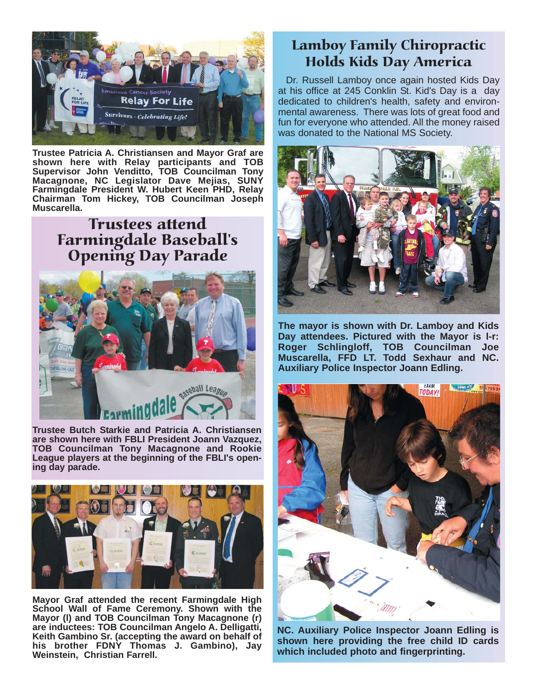

**Trustee Patricia A. Christiansen and Mayor Graf are shown here with Relay participants and TOB Supervisor John Venditto, TOB Councilman Tony Macagnone, NC Legislator Dave Mejias, SUNY Farmingdale President W. Hubert Keen PHD, Relay Chairman Tom Hickey, TOB Councilman Joseph Muscarella.**

> Trustees attend Farmingdale Baseball's Opening Day Parade



**Trustee Butch Starkie and Patricia A. Christiansen are shown here with FBLI President Joann Vazquez, TOB Councilman Tony Macagnone and Rookie League players at the beginning of the FBLI's opening day parade.**



**Mayor Graf attended the recent Farmingdale High School Wall of Fame Ceremony. Shown with the Mayor (l) and TOB Councilman Tony Macagnone (r) are inductees: TOB Councilman Angelo A. Delligatti, Keith Gambino Sr. (accepting the award on behalf of his brother FDNY Thomas J. Gambino), Jay Weinstein, Christian Farrell.**

#### Lamboy Family Chiropractic Holds Kids Day America

Dr. Russell Lamboy once again hosted Kids Day at his office at 245 Conklin St. Kid's Day is a day dedicated to children's health, safety and environmental awareness. There was lots of great food and fun for everyone who attended. All the money raised was donated to the National MS Society.



**The mayor is shown with Dr. Lamboy and Kids Day attendees. Pictured with the Mayor is l-r: Roger Schlingloff, TOB Councilman Joe Muscarella, FFD LT. Todd Sexhaur and NC. Auxiliary Police Inspector Joann Edling.**



**NC. Auxiliary Police Inspector Joann Edling is shown here providing the free child ID cards which included photo and fingerprinting.**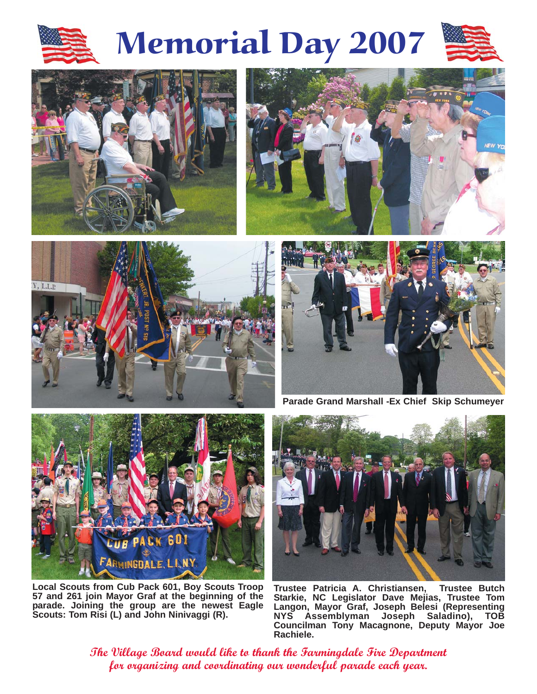

# Memorial Day 2007











**Parade Grand Marshall -Ex Chief Skip Schumeyer**



**Local Scouts from Cub Pack 601, Boy Scouts Troop 57 and 261 join Mayor Graf at the beginning of the parade. Joining the group are the newest Eagle Scouts: Tom Risi (L) and John Ninivaggi (R).**



**Trustee Patricia A. Christiansen, Trustee Butch Starkie, NC Legislator Dave Mejias, Trustee Tom Langon, Mayor Graf, Joseph Belesi (Representing NYS Assemblyman Joseph Saladino), TOB Councilman Tony Macagnone, Deputy Mayor Joe Rachiele.** 

**The Village Board would like to thank the Farmingdale Fire Department for organizing and coordinating our wonderful parade each year.**